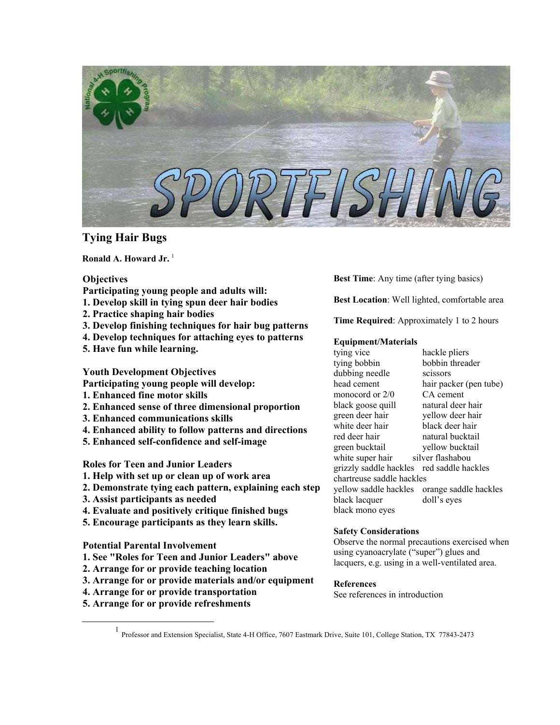

# **Tying Hair Bugs**

Ronald A. Howard Jr.<sup>[1](#page-0-0)</sup>

# **Objectives**

- **Participating young people and adults will:**
- **1. Develop skill in tying spun deer hair bodies**
- **2. Practice shaping hair bodies**
- **3. Develop finishing techniques for hair bug patterns**
- **4. Develop techniques for attaching eyes to patterns**
- **5. Have fun while learning.**

**Youth Development Objectives** 

- **Participating young people will develop:**
- **1. Enhanced fine motor skills**
- **2. Enhanced sense of three dimensional proportion**
- **3. Enhanced communications skills**
- **4. Enhanced ability to follow patterns and directions**
- **5. Enhanced self-confidence and self-image**

# **Roles for Teen and Junior Leaders**

- **1. Help with set up or clean up of work area**
- **2. Demonstrate tying each pattern, explaining each step**
- **3. Assist participants as needed**
- **4. Evaluate and positively critique finished bugs**
- **5. Encourage participants as they learn skills.**

# **Potential Parental Involvement**

- **1. See "Roles for Teen and Junior Leaders" above**
- **2. Arrange for or provide teaching location**
- **3. Arrange for or provide materials and/or equipment**
- **4. Arrange for or provide transportation**
- **5. Arrange for or provide refreshments**

**Best Time**: Any time (after tying basics)

**Best Location**: Well lighted, comfortable area

**Time Required**: Approximately 1 to 2 hours

# **Equipment/Materials**

tying vice hackle pliers tying bobbin bobbin threader dubbing needle scissors head cement hair packer (pen tube)<br>monocord or 2/0 CA cement monocord or  $2/0$ black goose quill natural deer hair green deer hair yellow deer hair white deer hair black deer hair red deer hair natural bucktail green bucktail yellow bucktail white super hair silver flashabou grizzly saddle hackles red saddle hackles chartreuse saddle hackles yellow saddle hackles orange saddle hackles black lacquer doll's eyes black mono eyes

# **Safety Considerations**

Observe the normal precautions exercised when using cyanoacrylate ("super") glues and lacquers, e.g. using in a well-ventilated area.

# **References**

See references in introduction

<span id="page-0-0"></span><sup>&</sup>lt;u>1</u> Professor and Extension Specialist, State 4-H Office, 7607 Eastmark Drive, Suite 101, College Station, TX 77843-2473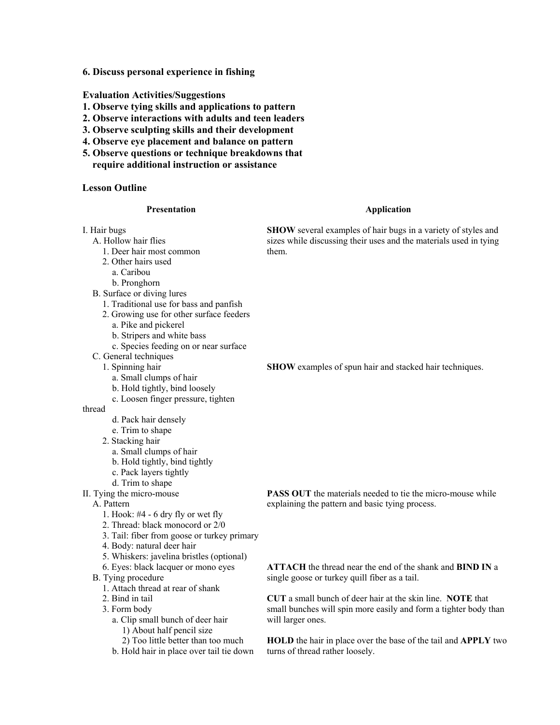**6. Discuss personal experience in fishing** 

### **Evaluation Activities/Suggestions**

- **1. Observe tying skills and applications to pattern**
- **2. Observe interactions with adults and teen leaders**
- **3. Observe sculpting skills and their development**
- **4. Observe eye placement and balance on pattern**
- **5. Observe questions or technique breakdowns that require additional instruction or assistance**

# **Lesson Outline**

#### **Presentation**

#### **Application**

I. Hair bugs A. Hollow hair flies 1. Deer hair most common 2. Other hairs used a. Caribou b. Pronghorn B. Surface or diving lures 1. Traditional use for bass and panfish 2. Growing use for other surface feeders a. Pike and pickerel b. Stripers and white bass c. Species feeding on or near surface C. General techniques 1. Spinning hair a. Small clumps of hair b. Hold tightly, bind loosely **SHOW** several examples of hair bugs in a variety of styles and sizes while discussing their uses and the materials used in tying them. **SHOW** examples of spun hair and stacked hair techniques.

c. Loosen finger pressure, tighten

### thread

- d. Pack hair densely
- e. Trim to shape
- 2. Stacking hair
	- a. Small clumps of hair
	- b. Hold tightly, bind tightly
	- c. Pack layers tightly
- d. Trim to shape
- II. Tying the micro-mouse

A. Pattern

- 1. Hook: #4 6 dry fly or wet fly
- 2. Thread: black monocord or 2/0
- 3. Tail: fiber from goose or turkey primary
- 4. Body: natural deer hair
- 5. Whiskers: javelina bristles (optional)
- 6. Eyes: black lacquer or mono eyes
- B. Tying procedure
	- 1. Attach thread at rear of shank
	- 2. Bind in tail
	- 3. Form body
		- a. Clip small bunch of deer hair 1) About half pencil size
		- 2) Too little better than too much
		- b. Hold hair in place over tail tie down

**PASS OUT** the materials needed to tie the micro-mouse while explaining the pattern and basic tying process.

**ATTACH** the thread near the end of the shank and **BIND IN** a single goose or turkey quill fiber as a tail.

**CUT** a small bunch of deer hair at the skin line. **NOTE** that small bunches will spin more easily and form a tighter body than will larger ones.

**HOLD** the hair in place over the base of the tail and **APPLY** two turns of thread rather loosely.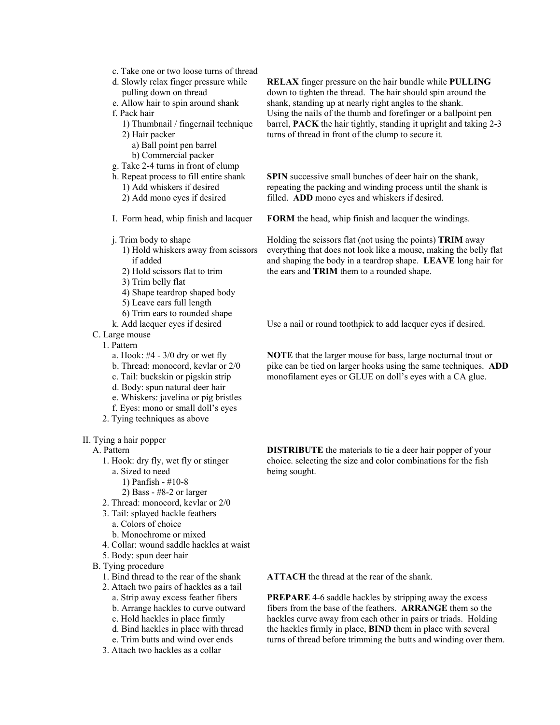- c. Take one or two loose turns of thread
- d. Slowly relax finger pressure while
- pulling down on thread
- e. Allow hair to spin around shank
- f. Pack hair
	- 1) Thumbnail / fingernail technique 2) Hair packer
		- a) Ball point pen barrel b) Commercial packer
- g. Take 2-4 turns in front of clump
- h. Repeat process to fill entire shank
- 1) Add whiskers if desired 2) Add mono eyes if desired
- I. Form head, whip finish and lacquer
- j. Trim body to shape
- 1) Hold whiskers away from scissors if added
- 2) Hold scissors flat to trim
- 3) Trim belly flat
- 4) Shape teardrop shaped body
- 5) Leave ears full length
- 6) Trim ears to rounded shape
- k. Add lacquer eyes if desired
- C. Large mouse
	- 1. Pattern
		- a. Hook:  $#4 3/0$  dry or wet fly
		- b. Thread: monocord, kevlar or 2/0
		- c. Tail: buckskin or pigskin strip
		- d. Body: spun natural deer hair
		- e. Whiskers: javelina or pig bristles
		- f. Eyes: mono or small doll's eyes
	- 2. Tying techniques as above

II. Tying a hair popper

A. Pattern

- 1. Hook: dry fly, wet fly or stinger
	- a. Sized to need
		- 1) Panfish #10-8
		- 2) Bass #8-2 or larger
- 2. Thread: monocord, kevlar or 2/0
- 3. Tail: splayed hackle feathers a. Colors of choice b. Monochrome or mixed
- 
- 4. Collar: wound saddle hackles at waist
- 5. Body: spun deer hair
- B. Tying procedure
	- 1. Bind thread to the rear of the shank
	- 2. Attach two pairs of hackles as a tail a. Strip away excess feather fibers
		- b. Arrange hackles to curve outward
		- c. Hold hackles in place firmly
		- d. Bind hackles in place with thread
		- e. Trim butts and wind over ends
	- 3. Attach two hackles as a collar

**RELAX** finger pressure on the hair bundle while **PULLING** down to tighten the thread. The hair should spin around the shank, standing up at nearly right angles to the shank. Using the nails of the thumb and forefinger or a ballpoint pen barrel, **PACK** the hair tightly, standing it upright and taking 2-3 turns of thread in front of the clump to secure it.

**SPIN** successive small bunches of deer hair on the shank, repeating the packing and winding process until the shank is filled. **ADD** mono eyes and whiskers if desired.

**FORM** the head, whip finish and lacquer the windings.

Holding the scissors flat (not using the points) **TRIM** away everything that does not look like a mouse, making the belly flat and shaping the body in a teardrop shape. **LEAVE** long hair for the ears and **TRIM** them to a rounded shape.

Use a nail or round toothpick to add lacquer eyes if desired.

**NOTE** that the larger mouse for bass, large nocturnal trout or pike can be tied on larger hooks using the same techniques. **ADD** monofilament eyes or GLUE on doll's eyes with a CA glue.

**DISTRIBUTE** the materials to tie a deer hair popper of your choice. selecting the size and color combinations for the fish being sought.

**ATTACH** the thread at the rear of the shank.

**PREPARE** 4-6 saddle hackles by stripping away the excess fibers from the base of the feathers. **ARRANGE** them so the hackles curve away from each other in pairs or triads. Holding the hackles firmly in place, **BIND** them in place with several turns of thread before trimming the butts and winding over them.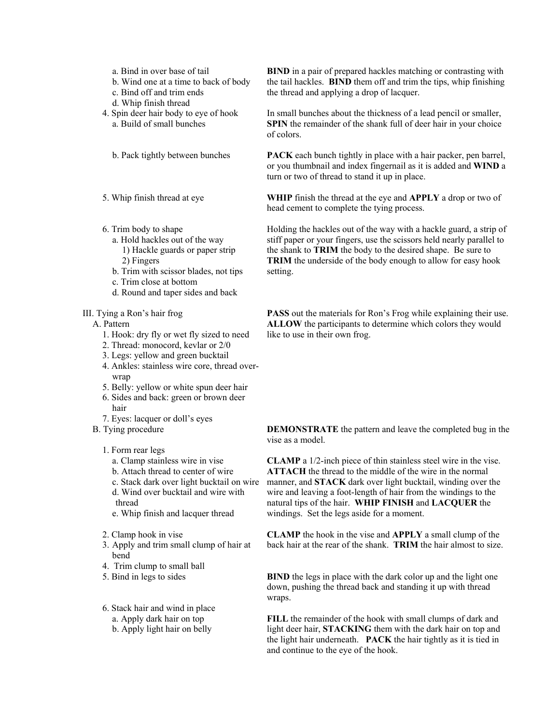- a. Bind in over base of tail
- b. Wind one at a time to back of body
- c. Bind off and trim ends
- d. Whip finish thread
- 4. Spin deer hair body to eye of hook a. Build of small bunches
	- b. Pack tightly between bunches
- 5. Whip finish thread at eye
- 6. Trim body to shape
	- a. Hold hackles out of the way 1) Hackle guards or paper strip 2) Fingers
	- b. Trim with scissor blades, not tips
	- c. Trim close at bottom
	- d. Round and taper sides and back

### III. Tying a Ron's hair frog

### A. Pattern

- 1. Hook: dry fly or wet fly sized to need
- 2. Thread: monocord, kevlar or 2/0
- 3. Legs: yellow and green bucktail
- 4. Ankles: stainless wire core, thread overwrap
- 5. Belly: yellow or white spun deer hair
- 6. Sides and back: green or brown deer hair
- 7. Eyes: lacquer or doll's eyes
- B. Tying procedure

### 1. Form rear legs

- a. Clamp stainless wire in vise
- b. Attach thread to center of wire
- c. Stack dark over light bucktail on wire
- d. Wind over bucktail and wire with thread
- e. Whip finish and lacquer thread
- 2. Clamp hook in vise
- 3. Apply and trim small clump of hair at bend
- 4. Trim clump to small ball
- 5. Bind in legs to sides
- 6. Stack hair and wind in place a. Apply dark hair on top b. Apply light hair on belly

**BIND** in a pair of prepared hackles matching or contrasting with the tail hackles. **BIND** them off and trim the tips, whip finishing the thread and applying a drop of lacquer.

In small bunches about the thickness of a lead pencil or smaller, **SPIN** the remainder of the shank full of deer hair in your choice of colors.

**PACK** each bunch tightly in place with a hair packer, pen barrel, or you thumbnail and index fingernail as it is added and **WIND** a turn or two of thread to stand it up in place.

**WHIP** finish the thread at the eye and **APPLY** a drop or two of head cement to complete the tying process.

Holding the hackles out of the way with a hackle guard, a strip of stiff paper or your fingers, use the scissors held nearly parallel to the shank to **TRIM** the body to the desired shape. Be sure to **TRIM** the underside of the body enough to allow for easy hook setting.

**PASS** out the materials for Ron's Frog while explaining their use. **ALLOW** the participants to determine which colors they would like to use in their own frog.

**DEMONSTRATE** the pattern and leave the completed bug in the vise as a model.

**CLAMP** a 1/2-inch piece of thin stainless steel wire in the vise. **ATTACH** the thread to the middle of the wire in the normal manner, and **STACK** dark over light bucktail, winding over the wire and leaving a foot-length of hair from the windings to the natural tips of the hair. **WHIP FINISH** and **LACQUER** the windings. Set the legs aside for a moment.

**CLAMP** the hook in the vise and **APPLY** a small clump of the back hair at the rear of the shank. **TRIM** the hair almost to size.

**BIND** the legs in place with the dark color up and the light one down, pushing the thread back and standing it up with thread wraps.

**FILL** the remainder of the hook with small clumps of dark and light deer hair, **STACKING** them with the dark hair on top and the light hair underneath. **PACK** the hair tightly as it is tied in and continue to the eye of the hook.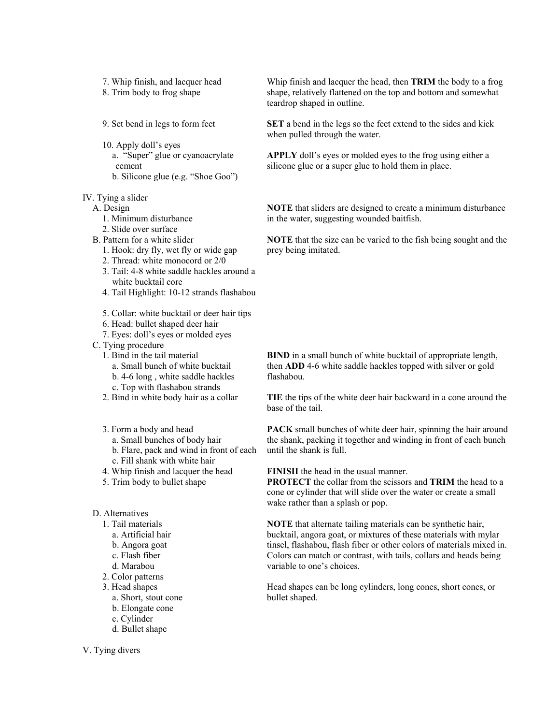- 7. Whip finish, and lacquer head
- 8. Trim body to frog shape
- 9. Set bend in legs to form feet
- 10. Apply doll's eyes a. "Super" glue or cyanoacrylate cement b. Silicone glue (e.g. "Shoe Goo")

### IV. Tying a slider

- A. Design
	- 1. Minimum disturbance
	- 2. Slide over surface
- B. Pattern for a white slider
	- 1. Hook: dry fly, wet fly or wide gap
	- 2. Thread: white monocord or 2/0
	- 3. Tail: 4-8 white saddle hackles around a white bucktail core
	- 4. Tail Highlight: 10-12 strands flashabou
	- 5. Collar: white bucktail or deer hair tips
	- 6. Head: bullet shaped deer hair
	- 7. Eyes: doll's eyes or molded eyes
- C. Tying procedure
	- 1. Bind in the tail material
		- a. Small bunch of white bucktail
		- b. 4-6 long , white saddle hackles
		- c. Top with flashabou strands
	- 2. Bind in white body hair as a collar
	- 3. Form a body and head
		- a. Small bunches of body hair b. Flare, pack and wind in front of each c. Fill shank with white hair
	- 4. Whip finish and lacquer the head
	- 5. Trim body to bullet shape
- D. Alternatives
	- 1. Tail materials
		- a. Artificial hair
		- b. Angora goat
		- c. Flash fiber
		- d. Marabou
	- 2. Color patterns
	- 3. Head shapes
		- a. Short, stout cone
		- b. Elongate cone
		- c. Cylinder
		- d. Bullet shape

V. Tying divers

Whip finish and lacquer the head, then **TRIM** the body to a frog shape, relatively flattened on the top and bottom and somewhat teardrop shaped in outline.

**SET** a bend in the legs so the feet extend to the sides and kick when pulled through the water.

**APPLY** doll's eyes or molded eyes to the frog using either a silicone glue or a super glue to hold them in place.

**NOTE** that sliders are designed to create a minimum disturbance in the water, suggesting wounded baitfish.

**NOTE** that the size can be varied to the fish being sought and the prey being imitated.

**BIND** in a small bunch of white bucktail of appropriate length, then **ADD** 4-6 white saddle hackles topped with silver or gold flashabou.

**TIE** the tips of the white deer hair backward in a cone around the base of the tail.

**PACK** small bunches of white deer hair, spinning the hair around the shank, packing it together and winding in front of each bunch until the shank is full.

**FINISH** the head in the usual manner.

**PROTECT** the collar from the scissors and **TRIM** the head to a cone or cylinder that will slide over the water or create a small wake rather than a splash or pop.

**NOTE** that alternate tailing materials can be synthetic hair, bucktail, angora goat, or mixtures of these materials with mylar tinsel, flashabou, flash fiber or other colors of materials mixed in. Colors can match or contrast, with tails, collars and heads being variable to one's choices.

Head shapes can be long cylinders, long cones, short cones, or bullet shaped.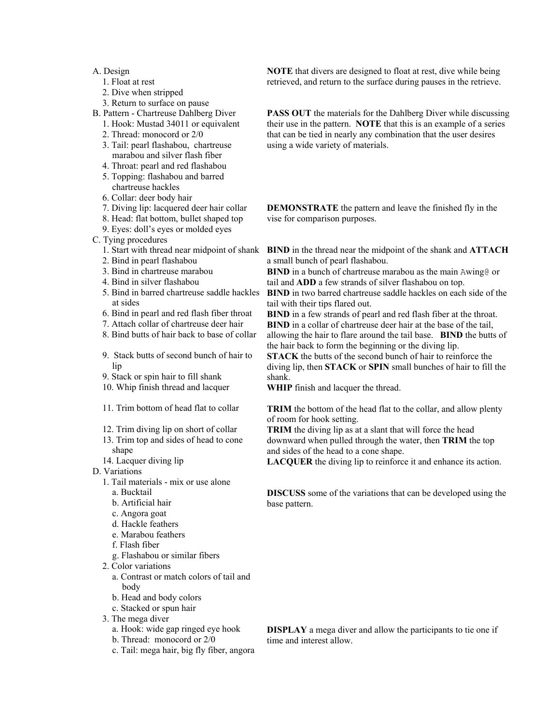## A. Design

- 1. Float at rest
- 2. Dive when stripped
- 3. Return to surface on pause
- B. Pattern Chartreuse Dahlberg Diver
	- 1. Hook: Mustad 34011 or equivalent
	- 2. Thread: monocord or 2/0
	- 3. Tail: pearl flashabou, chartreuse marabou and silver flash fiber
	- 4. Throat: pearl and red flashabou
	- 5. Topping: flashabou and barred chartreuse hackles
	- 6. Collar: deer body hair
	- 7. Diving lip: lacquered deer hair collar
	- 8. Head: flat bottom, bullet shaped top
	- 9. Eyes: doll's eyes or molded eyes
- C. Tying procedures
	- 1. Start with thread near midpoint of shank
	- 2. Bind in pearl flashabou
	- 3. Bind in chartreuse marabou
	- 4. Bind in silver flashabou
	- 5. Bind in barred chartreuse saddle hackles at sides
	- 6. Bind in pearl and red flash fiber throat
	- 7. Attach collar of chartreuse deer hair
	- 8. Bind butts of hair back to base of collar
	- 9. Stack butts of second bunch of hair to lip
	- 9. Stack or spin hair to fill shank
	- 10. Whip finish thread and lacquer
	- 11. Trim bottom of head flat to collar
	- 12. Trim diving lip on short of collar
	- 13. Trim top and sides of head to cone shape
	- 14. Lacquer diving lip
- D. Variations
	- 1. Tail materials mix or use alone
		- a. Bucktail
		- b. Artificial hair
		- c. Angora goat
		- d. Hackle feathers
		- e. Marabou feathers
		- f. Flash fiber
		- g. Flashabou or similar fibers
	- 2. Color variations
		- a. Contrast or match colors of tail and body
		- b. Head and body colors
		- c. Stacked or spun hair
	- 3. The mega diver
		- a. Hook: wide gap ringed eye hook
		- b. Thread: monocord or 2/0
		- c. Tail: mega hair, big fly fiber, angora

**NOTE** that divers are designed to float at rest, dive while being retrieved, and return to the surface during pauses in the retrieve.

**PASS OUT** the materials for the Dahlberg Diver while discussing their use in the pattern. **NOTE** that this is an example of a series that can be tied in nearly any combination that the user desires using a wide variety of materials.

**DEMONSTRATE** the pattern and leave the finished fly in the vise for comparison purposes.

**BIND** in the thread near the midpoint of the shank and **ATTACH** a small bunch of pearl flashabou.

**BIND** in a bunch of chartreuse marabou as the main Awing@ or tail and **ADD** a few strands of silver flashabou on top.

**BIND** in two barred chartreuse saddle hackles on each side of the tail with their tips flared out.

**BIND** in a few strands of pearl and red flash fiber at the throat. **BIND** in a collar of chartreuse deer hair at the base of the tail,

allowing the hair to flare around the tail base. **BIND** the butts of the hair back to form the beginning or the diving lip.

**STACK** the butts of the second bunch of hair to reinforce the diving lip, then **STACK** or **SPIN** small bunches of hair to fill the shank.

**WHIP** finish and lacquer the thread.

**TRIM** the bottom of the head flat to the collar, and allow plenty of room for hook setting.

**TRIM** the diving lip as at a slant that will force the head downward when pulled through the water, then **TRIM** the top and sides of the head to a cone shape.

**LACQUER** the diving lip to reinforce it and enhance its action.

**DISCUSS** some of the variations that can be developed using the base pattern.

**DISPLAY** a mega diver and allow the participants to tie one if time and interest allow.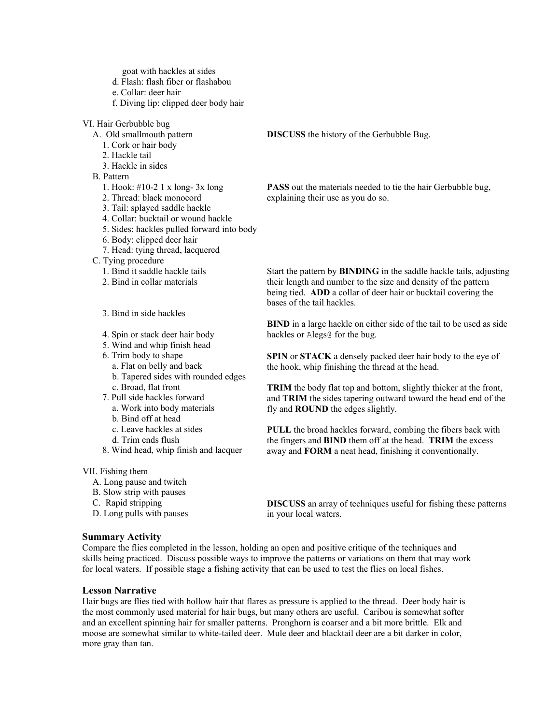goat with hackles at sides

- d. Flash: flash fiber or flashabou
- e. Collar: deer hair
- f. Diving lip: clipped deer body hair

VI. Hair Gerbubble bug

- A. Old smallmouth pattern
- 1. Cork or hair body
- 2. Hackle tail
- 3. Hackle in sides
- B. Pattern
	- 1. Hook: #10-2 1 x long- 3x long
	- 2. Thread: black monocord
	- 3. Tail: splayed saddle hackle
	- 4. Collar: bucktail or wound hackle
	- 5. Sides: hackles pulled forward into body
	- 6. Body: clipped deer hair
	- 7. Head: tying thread, lacquered
- C. Tying procedure
	- 1. Bind it saddle hackle tails
	- 2. Bind in collar materials
	- 3. Bind in side hackles
	- 4. Spin or stack deer hair body
	- 5. Wind and whip finish head
	- 6. Trim body to shape
		- a. Flat on belly and back
		- b. Tapered sides with rounded edges
		- c. Broad, flat front
	- 7. Pull side hackles forward
		- a. Work into body materials
		- b. Bind off at head
		- c. Leave hackles at sides
		- d. Trim ends flush
	- 8. Wind head, whip finish and lacquer

#### VII. Fishing them

- A. Long pause and twitch
- B. Slow strip with pauses
- C. Rapid stripping
- D. Long pulls with pauses

### **Summary Activity**

**DISCUSS** the history of the Gerbubble Bug.

**PASS** out the materials needed to tie the hair Gerbubble bug, explaining their use as you do so.

Start the pattern by **BINDING** in the saddle hackle tails, adjusting their length and number to the size and density of the pattern being tied. **ADD** a collar of deer hair or bucktail covering the bases of the tail hackles.

**BIND** in a large hackle on either side of the tail to be used as side hackles or Alegs@ for the bug.

**SPIN** or **STACK** a densely packed deer hair body to the eye of the hook, whip finishing the thread at the head.

**TRIM** the body flat top and bottom, slightly thicker at the front, and **TRIM** the sides tapering outward toward the head end of the fly and **ROUND** the edges slightly.

**PULL** the broad hackles forward, combing the fibers back with the fingers and **BIND** them off at the head. **TRIM** the excess away and **FORM** a neat head, finishing it conventionally.

**DISCUSS** an array of techniques useful for fishing these patterns in your local waters.

Compare the flies completed in the lesson, holding an open and positive critique of the techniques and skills being practiced. Discuss possible ways to improve the patterns or variations on them that may work for local waters. If possible stage a fishing activity that can be used to test the flies on local fishes.

# **Lesson Narrative**

Hair bugs are flies tied with hollow hair that flares as pressure is applied to the thread. Deer body hair is the most commonly used material for hair bugs, but many others are useful. Caribou is somewhat softer and an excellent spinning hair for smaller patterns. Pronghorn is coarser and a bit more brittle. Elk and moose are somewhat similar to white-tailed deer. Mule deer and blacktail deer are a bit darker in color, more gray than tan.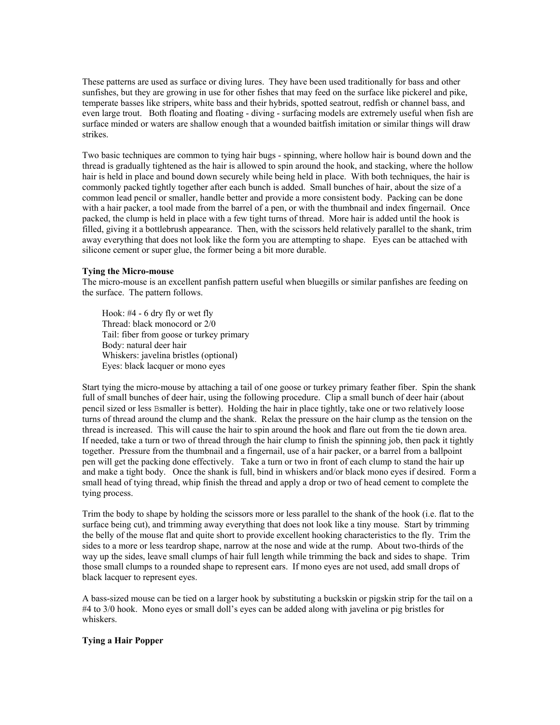These patterns are used as surface or diving lures. They have been used traditionally for bass and other sunfishes, but they are growing in use for other fishes that may feed on the surface like pickerel and pike, temperate basses like stripers, white bass and their hybrids, spotted seatrout, redfish or channel bass, and even large trout. Both floating and floating - diving - surfacing models are extremely useful when fish are surface minded or waters are shallow enough that a wounded baitfish imitation or similar things will draw strikes.

Two basic techniques are common to tying hair bugs - spinning, where hollow hair is bound down and the thread is gradually tightened as the hair is allowed to spin around the hook, and stacking, where the hollow hair is held in place and bound down securely while being held in place. With both techniques, the hair is commonly packed tightly together after each bunch is added. Small bunches of hair, about the size of a common lead pencil or smaller, handle better and provide a more consistent body. Packing can be done with a hair packer, a tool made from the barrel of a pen, or with the thumbnail and index fingernail. Once packed, the clump is held in place with a few tight turns of thread. More hair is added until the hook is filled, giving it a bottlebrush appearance. Then, with the scissors held relatively parallel to the shank, trim away everything that does not look like the form you are attempting to shape. Eyes can be attached with silicone cement or super glue, the former being a bit more durable.

### **Tying the Micro-mouse**

The micro-mouse is an excellent panfish pattern useful when bluegills or similar panfishes are feeding on the surface. The pattern follows.

Hook: #4 - 6 dry fly or wet fly Thread: black monocord or 2/0 Tail: fiber from goose or turkey primary Body: natural deer hair Whiskers: javelina bristles (optional) Eyes: black lacquer or mono eyes

Start tying the micro-mouse by attaching a tail of one goose or turkey primary feather fiber. Spin the shank full of small bunches of deer hair, using the following procedure. Clip a small bunch of deer hair (about pencil sized or less Bsmaller is better). Holding the hair in place tightly, take one or two relatively loose turns of thread around the clump and the shank. Relax the pressure on the hair clump as the tension on the thread is increased. This will cause the hair to spin around the hook and flare out from the tie down area. If needed, take a turn or two of thread through the hair clump to finish the spinning job, then pack it tightly together. Pressure from the thumbnail and a fingernail, use of a hair packer, or a barrel from a ballpoint pen will get the packing done effectively. Take a turn or two in front of each clump to stand the hair up and make a tight body. Once the shank is full, bind in whiskers and/or black mono eyes if desired. Form a small head of tying thread, whip finish the thread and apply a drop or two of head cement to complete the tying process.

Trim the body to shape by holding the scissors more or less parallel to the shank of the hook (i.e. flat to the surface being cut), and trimming away everything that does not look like a tiny mouse. Start by trimming the belly of the mouse flat and quite short to provide excellent hooking characteristics to the fly. Trim the sides to a more or less teardrop shape, narrow at the nose and wide at the rump. About two-thirds of the way up the sides, leave small clumps of hair full length while trimming the back and sides to shape. Trim those small clumps to a rounded shape to represent ears. If mono eyes are not used, add small drops of black lacquer to represent eyes.

A bass-sized mouse can be tied on a larger hook by substituting a buckskin or pigskin strip for the tail on a #4 to 3/0 hook. Mono eyes or small doll's eyes can be added along with javelina or pig bristles for whiskers.

### **Tying a Hair Popper**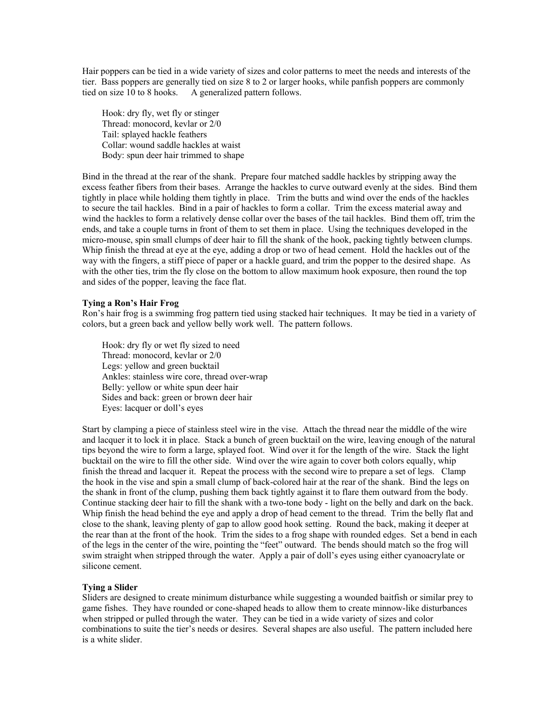Hair poppers can be tied in a wide variety of sizes and color patterns to meet the needs and interests of the tier. Bass poppers are generally tied on size 8 to 2 or larger hooks, while panfish poppers are commonly tied on size 10 to 8 hooks. A generalized pattern follows.

Hook: dry fly, wet fly or stinger Thread: monocord, kevlar or 2/0 Tail: splayed hackle feathers Collar: wound saddle hackles at waist Body: spun deer hair trimmed to shape

Bind in the thread at the rear of the shank. Prepare four matched saddle hackles by stripping away the excess feather fibers from their bases. Arrange the hackles to curve outward evenly at the sides. Bind them tightly in place while holding them tightly in place. Trim the butts and wind over the ends of the hackles to secure the tail hackles. Bind in a pair of hackles to form a collar. Trim the excess material away and wind the hackles to form a relatively dense collar over the bases of the tail hackles. Bind them off, trim the ends, and take a couple turns in front of them to set them in place. Using the techniques developed in the micro-mouse, spin small clumps of deer hair to fill the shank of the hook, packing tightly between clumps. Whip finish the thread at eye at the eye, adding a drop or two of head cement. Hold the hackles out of the way with the fingers, a stiff piece of paper or a hackle guard, and trim the popper to the desired shape. As with the other ties, trim the fly close on the bottom to allow maximum hook exposure, then round the top and sides of the popper, leaving the face flat.

### **Tying a Ron's Hair Frog**

Ron's hair frog is a swimming frog pattern tied using stacked hair techniques. It may be tied in a variety of colors, but a green back and yellow belly work well. The pattern follows.

Hook: dry fly or wet fly sized to need Thread: monocord, kevlar or 2/0 Legs: yellow and green bucktail Ankles: stainless wire core, thread over-wrap Belly: yellow or white spun deer hair Sides and back: green or brown deer hair Eyes: lacquer or doll's eyes

Start by clamping a piece of stainless steel wire in the vise. Attach the thread near the middle of the wire and lacquer it to lock it in place. Stack a bunch of green bucktail on the wire, leaving enough of the natural tips beyond the wire to form a large, splayed foot. Wind over it for the length of the wire. Stack the light bucktail on the wire to fill the other side. Wind over the wire again to cover both colors equally, whip finish the thread and lacquer it. Repeat the process with the second wire to prepare a set of legs. Clamp the hook in the vise and spin a small clump of back-colored hair at the rear of the shank. Bind the legs on the shank in front of the clump, pushing them back tightly against it to flare them outward from the body. Continue stacking deer hair to fill the shank with a two-tone body - light on the belly and dark on the back. Whip finish the head behind the eye and apply a drop of head cement to the thread. Trim the belly flat and close to the shank, leaving plenty of gap to allow good hook setting. Round the back, making it deeper at the rear than at the front of the hook. Trim the sides to a frog shape with rounded edges. Set a bend in each of the legs in the center of the wire, pointing the "feet" outward. The bends should match so the frog will swim straight when stripped through the water. Apply a pair of doll's eyes using either cyanoacrylate or silicone cement.

#### **Tying a Slider**

Sliders are designed to create minimum disturbance while suggesting a wounded baitfish or similar prey to game fishes. They have rounded or cone-shaped heads to allow them to create minnow-like disturbances when stripped or pulled through the water. They can be tied in a wide variety of sizes and color combinations to suite the tier's needs or desires. Several shapes are also useful. The pattern included here is a white slider.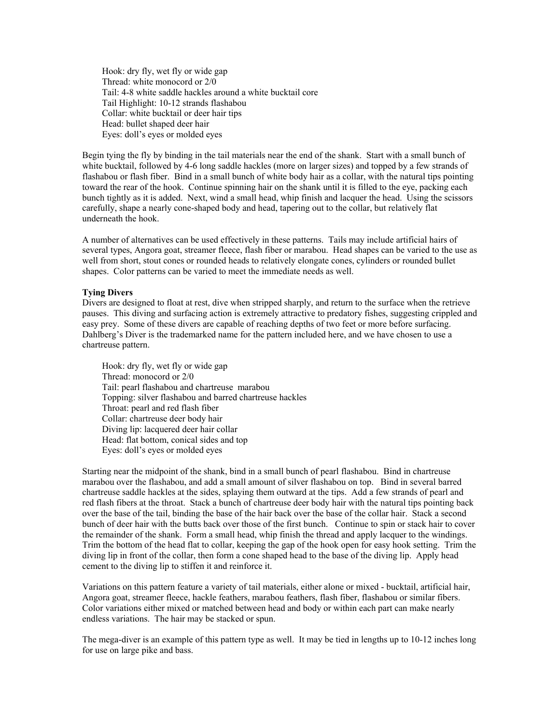Hook: dry fly, wet fly or wide gap Thread: white monocord or 2/0 Tail: 4-8 white saddle hackles around a white bucktail core Tail Highlight: 10-12 strands flashabou Collar: white bucktail or deer hair tips Head: bullet shaped deer hair Eyes: doll's eyes or molded eyes

Begin tying the fly by binding in the tail materials near the end of the shank. Start with a small bunch of white bucktail, followed by 4-6 long saddle hackles (more on larger sizes) and topped by a few strands of flashabou or flash fiber. Bind in a small bunch of white body hair as a collar, with the natural tips pointing toward the rear of the hook. Continue spinning hair on the shank until it is filled to the eye, packing each bunch tightly as it is added. Next, wind a small head, whip finish and lacquer the head. Using the scissors carefully, shape a nearly cone-shaped body and head, tapering out to the collar, but relatively flat underneath the hook.

A number of alternatives can be used effectively in these patterns. Tails may include artificial hairs of several types, Angora goat, streamer fleece, flash fiber or marabou. Head shapes can be varied to the use as well from short, stout cones or rounded heads to relatively elongate cones, cylinders or rounded bullet shapes. Color patterns can be varied to meet the immediate needs as well.

### **Tying Divers**

Divers are designed to float at rest, dive when stripped sharply, and return to the surface when the retrieve pauses. This diving and surfacing action is extremely attractive to predatory fishes, suggesting crippled and easy prey. Some of these divers are capable of reaching depths of two feet or more before surfacing. Dahlberg's Diver is the trademarked name for the pattern included here, and we have chosen to use a chartreuse pattern.

Hook: dry fly, wet fly or wide gap Thread: monocord or 2/0 Tail: pearl flashabou and chartreuse marabou Topping: silver flashabou and barred chartreuse hackles Throat: pearl and red flash fiber Collar: chartreuse deer body hair Diving lip: lacquered deer hair collar Head: flat bottom, conical sides and top Eyes: doll's eyes or molded eyes

Starting near the midpoint of the shank, bind in a small bunch of pearl flashabou. Bind in chartreuse marabou over the flashabou, and add a small amount of silver flashabou on top. Bind in several barred chartreuse saddle hackles at the sides, splaying them outward at the tips. Add a few strands of pearl and red flash fibers at the throat. Stack a bunch of chartreuse deer body hair with the natural tips pointing back over the base of the tail, binding the base of the hair back over the base of the collar hair. Stack a second bunch of deer hair with the butts back over those of the first bunch. Continue to spin or stack hair to cover the remainder of the shank. Form a small head, whip finish the thread and apply lacquer to the windings. Trim the bottom of the head flat to collar, keeping the gap of the hook open for easy hook setting. Trim the diving lip in front of the collar, then form a cone shaped head to the base of the diving lip. Apply head cement to the diving lip to stiffen it and reinforce it.

Variations on this pattern feature a variety of tail materials, either alone or mixed - bucktail, artificial hair, Angora goat, streamer fleece, hackle feathers, marabou feathers, flash fiber, flashabou or similar fibers. Color variations either mixed or matched between head and body or within each part can make nearly endless variations. The hair may be stacked or spun.

The mega-diver is an example of this pattern type as well. It may be tied in lengths up to 10-12 inches long for use on large pike and bass.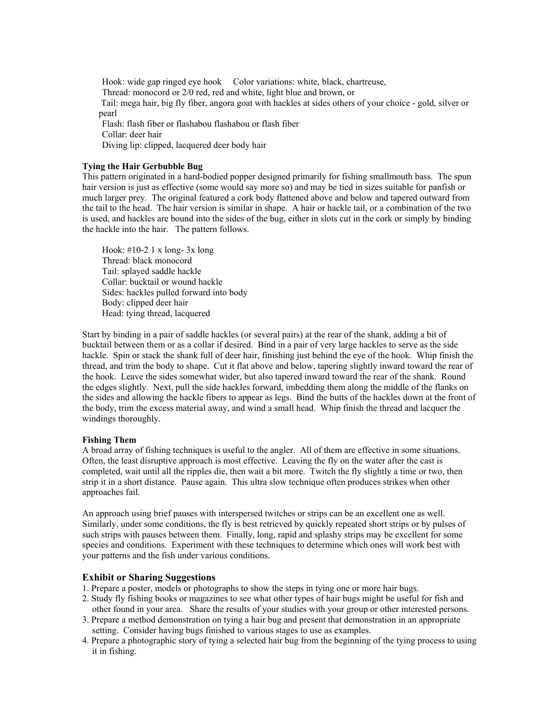Hook: wide gap ringed eye hook Color variations: white, black, chartreuse, Thread: monocord or 2/0 red, red and white, light blue and brown, or Tail: mega hair, big fly fiber, angora goat with hackles at sides others of your choice - gold, silver or pearl Flash: flash fiber or flashabou flashabou or flash fiber Collar: deer hair Diving lip: clipped, lacquered deer body hair

# **Tying the Hair Gerbubble Bug**

This pattern originated in a hard-bodied popper designed primarily for fishing smallmouth bass. The spun hair version is just as effective (some would say more so) and may be tied in sizes suitable for panfish or much larger prey. The original featured a cork body flattened above and below and tapered outward from the tail to the head. The hair version is similar in shape. A hair or hackle tail, or a combination of the two is used, and hackles are bound into the sides of the bug, either in slots cut in the cork or simply by binding the hackle into the hair. The pattern follows.

Hook: #10-2 1 x long- 3x long Thread: black monocord Tail: splayed saddle hackle Collar: bucktail or wound hackle Sides: hackles pulled forward into body Body: clipped deer hair Head: tying thread, lacquered

Start by binding in a pair of saddle hackles (or several pairs) at the rear of the shank, adding a bit of bucktail between them or as a collar if desired. Bind in a pair of very large hackles to serve as the side hackle. Spin or stack the shank full of deer hair, finishing just behind the eye of the hook. Whip finish the thread, and trim the body to shape. Cut it flat above and below, tapering slightly inward toward the rear of the hook. Leave the sides somewhat wider, but also tapered inward toward the rear of the shank. Round the edges slightly. Next, pull the side hackles forward, imbedding them along the middle of the flanks on the sides and allowing the hackle fibers to appear as legs. Bind the butts of the hackles down at the front of the body, trim the excess material away, and wind a small head. Whip finish the thread and lacquer the windings thoroughly.

### **Fishing Them**

A broad array of fishing techniques is useful to the angler. All of them are effective in some situations. Often, the least disruptive approach is most effective. Leaving the fly on the water after the cast is completed, wait until all the ripples die, then wait a bit more. Twitch the fly slightly a time or two, then strip it in a short distance. Pause again. This ultra slow technique often produces strikes when other approaches fail.

An approach using brief pauses with interspersed twitches or strips can be an excellent one as well. Similarly, under some conditions, the fly is best retrieved by quickly repeated short strips or by pulses of such strips with pauses between them. Finally, long, rapid and splashy strips may be excellent for some species and conditions. Experiment with these techniques to determine which ones will work best with your patterns and the fish under various conditions.

### **Exhibit or Sharing Suggestions**

- 1. Prepare a poster, models or photographs to show the steps in tying one or more hair bugs.
- 2. Study fly fishing books or magazines to see what other types of hair bugs might be useful for fish and other found in your area. Share the results of your studies with your group or other interested persons.
- 3. Prepare a method demonstration on tying a hair bug and present that demonstration in an appropriate setting. Consider having bugs finished to various stages to use as examples.
- 4. Prepare a photographic story of tying a selected hair bug from the beginning of the tying process to using it in fishing.